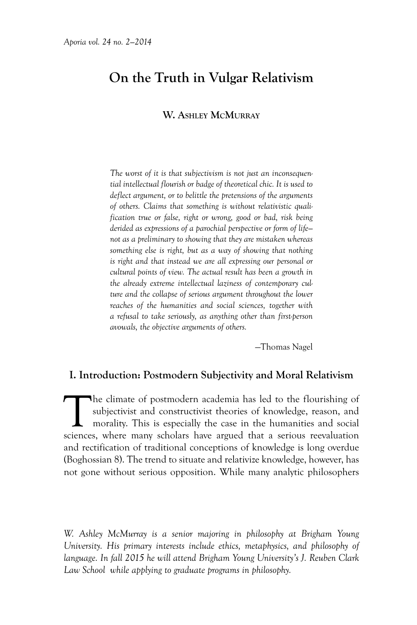# **On the Truth in Vulgar Relativism**

#### **W. Ashley McMurray**

*The worst of it is that subjectivism is not just an inconsequential intellectual flourish or badge of theoretical chic. It is used to deflect argument, or to belittle the pretensions of the arguments of others. Claims that something is without relativistic qualification true or false, right or wrong, good or bad, risk being derided as expressions of a parochial perspective or form of life not as a preliminary to showing that they are mistaken whereas something else is right, but as a way of showing that nothing is right and that instead we are all expressing our personal or cultural points of view. The actual result has been a growth in the already extreme intellectual laziness of contemporary culture and the collapse of serious argument throughout the lower reaches of the humanities and social sciences, together with a refusal to take seriously, as anything other than first-person avowals, the objective arguments of others.*

—Thomas Nagel

#### **I. Introduction: Postmodern Subjectivity and Moral Relativism**

The climate of postmodern academia has led to the flourishing of subjectivist and constructivist theories of knowledge, reason, and morality. This is especially the case in the humanities and social sciences, where many sc subjectivist and constructivist theories of knowledge, reason, and morality. This is especially the case in the humanities and social sciences, where many scholars have argued that a serious reevaluation and rectification of traditional conceptions of knowledge is long overdue (Boghossian 8). The trend to situate and relativize knowledge, however, has not gone without serious opposition. While many analytic philosophers

*W. Ashley McMurray is a senior majoring in philosophy at Brigham Young University. His primary interests include ethics, metaphysics, and philosophy of language. In fall 2015 he will attend Brigham Young University's J. Reuben Clark Law School while applying to graduate programs in philosophy.*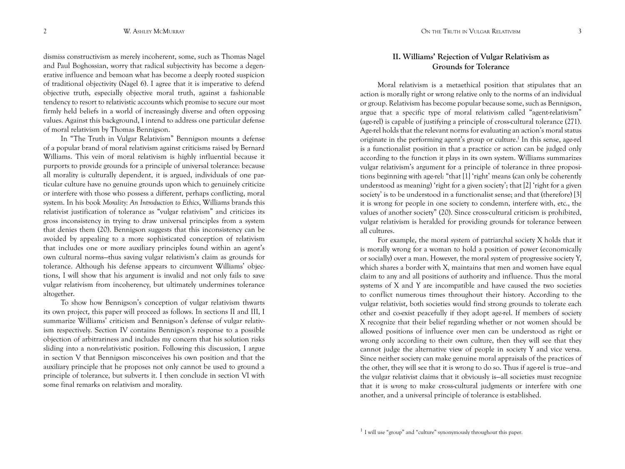dismiss constructivism as merely incoherent, some, such as Thomas Nagel and Paul Boghossian, worry that radical subjectivity has become a degenerative influence and bemoan what has become a deeply rooted suspicion of traditional objectivity (Nagel 6). I agree that it is imperative to defend objective truth, especially objective moral truth, against a fashionable tendency to resort to relativistic accounts which promise to secure our most firmly held beliefs in a world of increasingly diverse and often opposing values. Against this background, I intend to address one particular defense of moral relativism by Thomas Bennigson.

In "The Truth in Vulgar Relativism" Bennigson mounts a defense of a popular brand of moral relativism against criticisms raised by Bernard Williams. This vein of moral relativism is highly influential because it purports to provide grounds for a principle of universal tolerance: because all morality is culturally dependent, it is argued, individuals of one particular culture have no genuine grounds upon which to genuinely criticize or interfere with those who possess a different, perhaps conflicting, moral system. In his book *Morality: An Introduction to Ethics*, Williams brands this relativist justification of tolerance as "vulgar relativism" and criticizes its gross inconsistency in trying to draw universal principles from a system that denies them (20). Bennigson suggests that this inconsistency can be avoided by appealing to a more sophisticated conception of relativism that includes one or more auxiliary principles found within an agent's own cultural norms—thus saving vulgar relativism's claim as grounds for tolerance. Although his defense appears to circumvent Williams' objections, I will show that his argument is invalid and not only fails to save vulgar relativism from incoherency, but ultimately undermines tolerance altogether.

To show how Bennigson's conception of vulgar relativism thwarts its own project, this paper will proceed as follows. In sections II and III, I summarize Williams' criticism and Bennigson's defense of vulgar relativism respectively. Section IV contains Bennigson's response to a possible objection of arbitrariness and includes my concern that his solution risks sliding into a non-relativistic position. Following this discussion, I argue in section V that Bennigson misconceives his own position and that the auxiliary principle that he proposes not only cannot be used to ground a principle of tolerance, but subverts it. I then conclude in section VI with some final remarks on relativism and morality.

## **II. Williams' Rejection of Vulgar Relativism as Grounds for Tolerance**

Moral relativism is a metaethical position that stipulates that an action is morally right or wrong relative only to the norms of an individual or group. Relativism has become popular because some, such as Bennigson, argue that a specific type of moral relativism called "agent-relativism" (age-rel) is capable of justifying a principle of cross-cultural tolerance (271). Age-rel holds that the relevant norms for evaluating an action's moral status originate in the performing agent's group or culture.<sup>1</sup> In this sense, age-rel is a functionalist position in that a practice or action can be judged only according to the function it plays in its own system. Williams summarizes vulgar relativism's argument for a principle of tolerance in three propositions beginning with age-rel: "that [1] 'right' means (can only be coherently understood as meaning) 'right for a given society'; that [2] 'right for a given society' is to be understood in a functionalist sense; and that (therefore) [3] it is wrong for people in one society to condemn, interfere with, etc., the values of another society" (20). Since cross-cultural criticism is prohibited, vulgar relativism is heralded for providing grounds for tolerance between all cultures.

For example, the moral system of patriarchal society X holds that it is morally wrong for a woman to hold a position of power (economically or socially) over a man. However, the moral system of progressive society Y, which shares a border with X, maintains that men and women have equal claim to any and all positions of authority and influence. Thus the moral systems of X and Y are incompatible and have caused the two societies to conflict numerous times throughout their history. According to the vulgar relativist, both societies would find strong grounds to tolerate each other and co-exist peacefully if they adopt age-rel. If members of society X recognize that their belief regarding whether or not women should be allowed positions of influence over men can be understood as right or wrong only according to their own culture, then they will see that they cannot judge the alternative view of people in society Y and vice versa. Since neither society can make genuine moral appraisals of the practices of the other, they will see that it is wrong to do so. Thus if age-rel is true—and the vulgar relativist claims that it obviously is—all societies must recognize that it is *wrong* to make cross-cultural judgments or interfere with one another, and a universal principle of tolerance is established.

 $1$  I will use "group" and "culture" synonymously throughout this paper.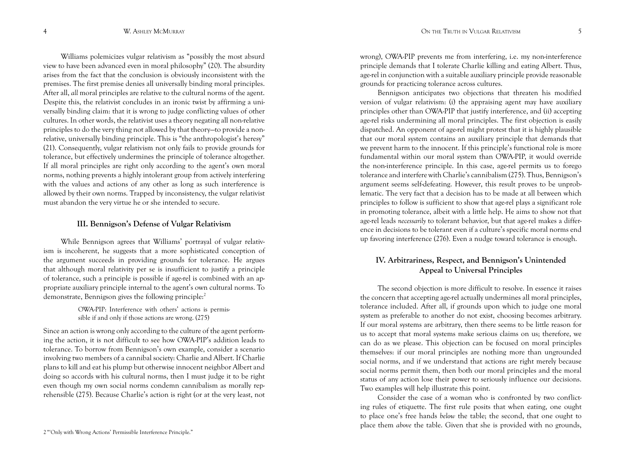Williams polemicizes vulgar relativism as "possibly the most absurd view to have been advanced even in moral philosophy" (20). The absurdity arises from the fact that the conclusion is obviously inconsistent with the premises. The first premise denies all universally binding moral principles. After all, *all* moral principles are relative to the cultural norms of the agent. Despite this, the relativist concludes in an ironic twist by affirming a universally binding claim: that it is wrong to judge conflicting values of other cultures. In other words, the relativist uses a theory negating all non-relative principles to do the very thing not allowed by that theory—to provide a nonrelative, universally binding principle. This is "the anthropologist's heresy" (21). Consequently, vulgar relativism not only fails to provide grounds for tolerance, but effectively undermines the principle of tolerance altogether. If all moral principles are right only according to the agent's own moral norms, nothing prevents a highly intolerant group from actively interfering with the values and actions of any other as long as such interference is allowed by their own norms. Trapped by inconsistency, the vulgar relativist must abandon the very virtue he or she intended to secure.

#### **III. Bennigson's Defense of Vulgar Relativism**

While Bennigson agrees that Williams' portrayal of vulgar relativism is incoherent, he suggests that a more sophisticated conception of the argument succeeds in providing grounds for tolerance. He argues that although moral relativity per se is insufficient to justify a principle of tolerance, such a principle is possible if age-rel is combined with an appropriate auxiliary principle internal to the agent's own cultural norms. To demonstrate, Bennigson gives the following principle:2

> OWA-PIP: Interference with others' actions is permissible if and only if those actions are wrong. (275)

Since an action is wrong only according to the culture of the agent performing the action, it is not difficult to see how OWA-PIP's addition leads to tolerance. To borrow from Bennigson's own example, consider a scenario involving two members of a cannibal society: Charlie and Albert. If Charlie plans to kill and eat his plump but otherwise innocent neighbor Albert and doing so accords with his cultural norms, then I must judge it to be right even though my own social norms condemn cannibalism as morally reprehensible (275). Because Charlie's action is right (or at the very least, not

wrong), OWA-PIP prevents me from interfering, i.e. my non-interference principle demands that I tolerate Charlie killing and eating Albert. Thus, age-rel in conjunction with a suitable auxiliary principle provide reasonable grounds for practicing tolerance across cultures.

Bennigson anticipates two objections that threaten his modified version of vulgar relativism: (i) the appraising agent may have auxiliary principles other than OWA-PIP that justify interference, and (ii) accepting age-rel risks undermining all moral principles. The first objection is easily dispatched. An opponent of age-rel might protest that it is highly plausible that our moral system contains an auxiliary principle that demands that we prevent harm to the innocent. If this principle's functional role is more fundamental within our moral system than OWA-PIP, it would override the non-interference principle. In this case, age-rel permits us to forego tolerance and interfere with Charlie's cannibalism (275). Thus, Bennigson's argument seems self-defeating. However, this result proves to be unproblematic. The very fact that a decision has to be made at all between which principles to follow is sufficient to show that age-rel plays a significant role in promoting tolerance, albeit with a little help. He aims to show not that age-rel leads *necessarily* to tolerant behavior, but that age-rel makes a difference in decisions to be tolerant even if a culture's specific moral norms end up favoring interference (276). Even a nudge toward tolerance is enough.

# **IV. Arbitrariness, Respect, and Bennigson's Unintended Appeal to Universal Principles**

The second objection is more difficult to resolve. In essence it raises the concern that accepting age-rel actually undermines all moral principles, tolerance included. After all, if grounds upon which to judge one moral system as preferable to another do not exist, choosing becomes arbitrary. If our moral systems are arbitrary, then there seems to be little reason for us to accept that moral systems make serious claims on us; therefore, we can do as we please. This objection can be focused on moral principles themselves: if our moral principles are nothing more than ungrounded social norms, and if we understand that actions are right merely because social norms permit them, then both our moral principles and the moral status of any action lose their power to seriously influence our decisions. Two examples will help illustrate this point.

Consider the case of a woman who is confronted by two conflicting rules of etiquette. The first rule posits that when eating, one ought to place one's free hands *below* the table; the second, that one ought to place them *above* the table. Given that she is provided with no grounds,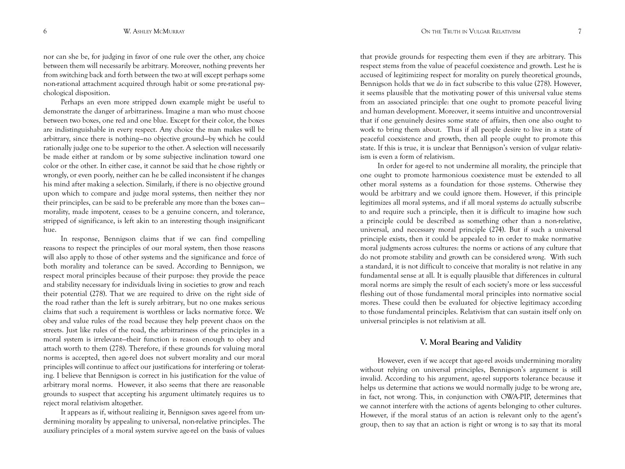nor can she be, for judging in favor of one rule over the other, any choice between them will necessarily be arbitrary. Moreover, nothing prevents her from switching back and forth between the two at will except perhaps some non-rational attachment acquired through habit or some pre-rational psychological disposition.

Perhaps an even more stripped down example might be useful to demonstrate the danger of arbitrariness. Imagine a man who must choose between two boxes, one red and one blue. Except for their color, the boxes are indistinguishable in every respect. Any choice the man makes will be arbitrary, since there is nothing—no objective ground—by which he could rationally judge one to be superior to the other. A selection will necessarily be made either at random or by some subjective inclination toward one color or the other. In either case, it cannot be said that he chose rightly or wrongly, or even poorly, neither can he be called inconsistent if he changes his mind after making a selection. Similarly, if there is no objective ground upon which to compare and judge moral systems, then neither they nor their principles, can be said to be preferable any more than the boxes can morality, made impotent, ceases to be a genuine concern, and tolerance, stripped of significance, is left akin to an interesting though insignificant hue.

In response, Bennigson claims that if we can find compelling reasons to respect the principles of our moral system, then those reasons will also apply to those of other systems and the significance and force of both morality and tolerance can be saved. According to Bennigson, we respect moral principles because of their purpose: they provide the peace and stability necessary for individuals living in societies to grow and reach their potential (278). That we are required to drive on the right side of the road rather than the left is surely arbitrary, but no one makes serious claims that such a requirement is worthless or lacks normative force. We obey and value rules of the road because they help prevent chaos on the streets. Just like rules of the road, the arbitrariness of the principles in a moral system is irrelevant—their function is reason enough to obey and attach worth to them (278). Therefore, if these grounds for valuing moral norms is accepted, then age-rel does not subvert morality and our moral principles will continue to affect our justifications for interfering or tolerating. I believe that Bennigson is correct in his justification for the value of arbitrary moral norms. However, it also seems that there are reasonable grounds to suspect that accepting his argument ultimately requires us to reject moral relativism altogether.

It appears as if, without realizing it, Bennigson saves age-rel from undermining morality by appealing to universal, non-relative principles. The auxiliary principles of a moral system survive age-rel on the basis of values

that provide grounds for respecting them even if they are arbitrary. This respect stems from the value of peaceful coexistence and growth. Lest he is accused of legitimizing respect for morality on purely theoretical grounds, Bennigson holds that we *do* in fact subscribe to this value (278). However, it seems plausible that the motivating power of this universal value stems from an associated principle: that one ought to promote peaceful living and human development. Moreover, it seems intuitive and uncontroversial that if one genuinely desires some state of affairs, then one also ought to work to bring them about. Thus if all people desire to live in a state of peaceful coexistence and growth, then all people ought to promote this state. If this is true, it is unclear that Bennigson's version of vulgar relativism is even a form of relativism.

In order for age-rel to not undermine all morality, the principle that one ought to promote harmonious coexistence must be extended to all other moral systems as a foundation for those systems. Otherwise they would be arbitrary and we could ignore them. However, if this principle legitimizes all moral systems, and if all moral systems *do* actually subscribe to and require such a principle, then it is difficult to imagine how such a principle could be described as something other than a non-relative, universal, and necessary moral principle (274). But if such a universal principle exists, then it could be appealed to in order to make normative moral judgments across cultures: the norms or actions of any culture that do not promote stability and growth can be considered *wrong*. With such a standard, it is not difficult to conceive that morality is not relative in any fundamental sense at all. It is equally plausible that differences in cultural moral norms are simply the result of each society's more or less successful fleshing out of those fundamental moral principles into normative social mores. These could then be evaluated for objective legitimacy according to those fundamental principles. Relativism that can sustain itself only on universal principles is not relativism at all.

#### **V. Moral Bearing and Validity**

However, even if we accept that age-rel avoids undermining morality without relying on universal principles, Bennigson's argument is still invalid. According to his argument, age-rel supports tolerance because it helps us determine that actions we would normally judge to be wrong are, in fact, not wrong. This, in conjunction with OWA-PIP, determines that we cannot interfere with the actions of agents belonging to other cultures. However, if the moral status of an action is relevant only to the agent's group, then to say that an action is right or wrong is to say that its moral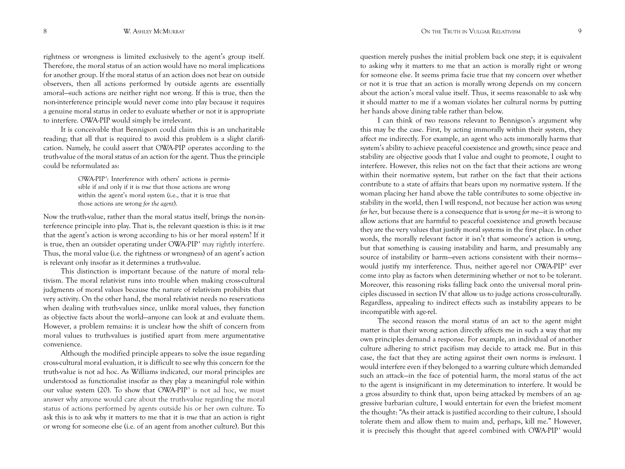rightness or wrongness is limited exclusively to the agent's group itself. Therefore, the moral status of an action would have no moral implications for another group. If the moral status of an action does not bear on outside observers, then all actions performed by outside agents are essentially amoral—such actions are neither right nor wrong. If this is true, then the non-interference principle would never come into play because it requires a genuine moral status in order to evaluate whether or not it is appropriate to interfere. OWA-PIP would simply be irrelevant.

It is conceivable that Bennigson could claim this is an uncharitable reading; that all that is required to avoid this problem is a slight clarification. Namely, he could assert that OWA-PIP operates according to the truth-value of the moral status of an action for the agent. Thus the principle could be reformulated as:

> OWA-PIP': Interference with others' actions is permissible if and only if it is *true* that those actions are wrong within the agent's moral system (i.e., that it is true that those actions are wrong *for the agent*).

Now the truth-value, rather than the moral status itself, brings the non-interference principle into play. That is, the relevant question is this: is it *true* that the agent's action is wrong according to his or her moral system? If it is true, then an outsider operating under OWA-PIP' may rightly interfere. Thus, the moral value (i.e. the rightness or wrongness) of an agent's action is relevant only insofar as it determines a truth-value.

This distinction is important because of the nature of moral relativism. The moral relativist runs into trouble when making cross-cultural judgments of moral values because the nature of relativism prohibits that very activity. On the other hand, the moral relativist needs no reservations when dealing with truth-values since, unlike moral values, they function as objective facts about the world—anyone can look at and evaluate them. However, a problem remains: it is unclear how the shift of concern from moral values to truth-values is justified apart from mere argumentative convenience.

Although the modified principle appears to solve the issue regarding cross-cultural moral evaluation, it is difficult to see why this concern for the truth-value is not ad hoc. As Williams indicated, our moral principles are understood as functionalist insofar as they play a meaningful role within our value system (20). To show that OWA-PIP' is not ad hoc, we must answer why anyone would care about the truth-value regarding the moral status of actions performed by agents outside his or her own culture. To ask this is to ask why it matters to me that it is *true* that an action is right or wrong for someone else (i.e. of an agent from another culture). But this

question merely pushes the initial problem back one step; it is equivalent to asking why it matters to me that an action is morally right or wrong for someone else. It seems prima facie true that my concern over whether or not it is true that an action is morally wrong depends on my concern about the action's moral value itself. Thus, it seems reasonable to ask why it should matter to me if a woman violates her cultural norms by putting her hands above dining table rather than below.

I can think of two reasons relevant to Bennigson's argument why this may be the case. First, by acting immorally within their system, they affect me indirectly. For example, an agent who acts immorally harms that system's ability to achieve peaceful coexistence and growth; since peace and stability are objective goods that I value and ought to promote, I ought to interfere. However, this relies not on the fact that their actions are wrong within their normative system, but rather on the fact that their actions contribute to a state of affairs that bears upon *my* normative system. If the woman placing her hand above the table contributes to some objective instability in the world, then I will respond, not because her action was *wrong for her*, but because there is a consequence that is *wrong for me*—it is wrong to allow actions that are harmful to peaceful coexistence and growth because they are the very values that justify moral systems in the first place. In other words, the morally relevant factor it isn't that someone's action is *wrong*, but that something is causing instability and harm, and presumably any source of instability or harm—even actions consistent with their norms would justify my interference. Thus, neither age-rel nor OWA-PIP' ever come into play as factors when determining whether or not to be tolerant. Moreover, this reasoning risks falling back onto the universal moral principles discussed in section IV that allow us to judge actions cross-culturally. Regardless, appealing to indirect effects such as instability appears to be incompatible with age-rel.

The second reason the moral status of an act to the agent might matter is that their wrong action directly affects me in such a way that my own principles demand a response. For example, an individual of another culture adhering to strict pacifism may decide to attack me. But in this case, the fact that they are acting against their own norms is *irrelevant*. I would interfere even if they belonged to a warring culture which demanded such an attack—in the face of potential harm, the moral status of the act to the agent is insignificant in my determination to interfere. It would be a gross absurdity to think that, upon being attacked by members of an aggressive barbarian culture, I would entertain for even the briefest moment the thought: "As their attack is justified according to their culture, I should tolerate them and allow them to maim and, perhaps, kill me." However, it is precisely this thought that age-rel combined with OWA-PIP' would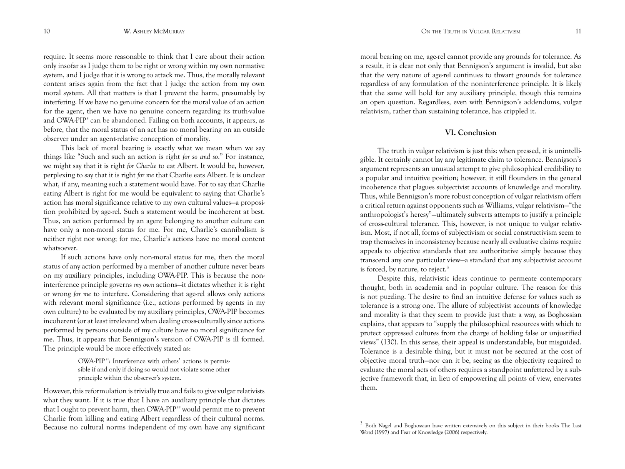require. It seems more reasonable to think that I care about their action only insofar as I judge them to be right or wrong within my own normative system, and I judge that it is wrong to attack me. Thus, the morally relevant content arises again from the fact that I judge the action from my own moral system. All that matters is that I prevent the harm, presumably by interfering. If we have no genuine concern for the moral value of an action for the agent, then we have no genuine concern regarding its truth-value and OWA-PIP' can be abandoned. Failing on both accounts, it appears, as before, that the moral status of an act has no moral bearing on an outside observer under an agent-relative conception of morality.

This lack of moral bearing is exactly what we mean when we say things like "Such and such an action is right *for so and so*." For instance, we might say that it is right *for Charlie* to eat Albert. It would be, however, perplexing to say that it is right *for me* that Charlie eats Albert. It is unclear what, if any, meaning such a statement would have. For to say that Charlie eating Albert is right for me would be equivalent to saying that Charlie's action has moral significance relative to my own cultural values—a proposition prohibited by age-rel. Such a statement would be incoherent at best. Thus, an action performed by an agent belonging to another culture can have only a non-moral status for me. For me, Charlie's cannibalism is neither right nor wrong; for me, Charlie's actions have no moral content whatsoever.

If such actions have only non-moral status for me, then the moral status of any action performed by a member of another culture never bears on my auxiliary principles, including OWA-PIP. This is because the noninterference principle governs *my own* actions—it dictates whether it is right or wrong *for me* to interfere. Considering that age-rel allows only actions with relevant moral significance (i.e., actions performed by agents in my own culture) to be evaluated by my auxiliary principles, OWA-PIP becomes incoherent (or at least irrelevant) when dealing cross-culturally since actions performed by persons outside of my culture have no moral significance for me. Thus, it appears that Bennigson's version of OWA-PIP is ill formed. The principle would be more effectively stated as:

> OWA-PIP ' ': Interference with others' actions is permissible if and only if doing so would not violate some other principle within the observer's system.

However, this reformulation is trivially true and fails to give vulgar relativists what they want. If it is true that I have an auxiliary principle that dictates that I ought to prevent harm, then OWA-PIP ' ' would permit me to prevent Charlie from killing and eating Albert regardless of their cultural norms. Because no cultural norms independent of my own have any significant

moral bearing on me, age-rel cannot provide any grounds for tolerance. As a result, it is clear not only that Bennigson's argument is invalid, but also that the very nature of age-rel continues to thwart grounds for tolerance regardless of any formulation of the noninterference principle. It is likely that the same will hold for any auxiliary principle, though this remains an open question. Regardless, even with Bennigson's addendums, vulgar relativism, rather than sustaining tolerance, has crippled it.

## **VI. Conclusion**

The truth in vulgar relativism is just this: when pressed, it is unintelligible. It certainly cannot lay any legitimate claim to tolerance. Bennigson's argument represents an unusual attempt to give philosophical credibility to a popular and intuitive position; however, it still flounders in the general incoherence that plagues subjectivist accounts of knowledge and morality. Thus, while Bennigson's more robust conception of vulgar relativism offers a critical return against opponents such as Williams, vulgar relativism—"the anthropologist's heresy"—ultimately subverts attempts to justify a principle of cross-cultural tolerance. This, however, is not unique to vulgar relativism. Most, if not all, forms of subjectivism or social constructivism seem to trap themselves in inconsistency because nearly all evaluative claims require appeals to objective standards that are authoritative simply because they transcend any one particular view—a standard that any subjectivist account is forced, by nature, to reject.<sup>3</sup>

Despite this, relativistic ideas continue to permeate contemporary thought, both in academia and in popular culture. The reason for this is not puzzling. The desire to find an intuitive defense for values such as tolerance is a strong one. The allure of subjectivist accounts of knowledge and morality is that they seem to provide just that: a way, as Boghossian explains, that appears to "supply the philosophical resources with which to protect oppressed cultures from the charge of holding false or unjustified views" (130). In this sense, their appeal is understandable, but misguided. Tolerance is a desirable thing, but it must not be secured at the cost of objective moral truth—nor can it be, seeing as the objectivity required to evaluate the moral acts of others requires a standpoint unfettered by a subjective framework that, in lieu of empowering all points of view, enervates them.

<sup>&</sup>lt;sup>3</sup> Both Nagel and Boghossian have written extensively on this subject in their books The Last Word (1997) and Fear of Knowledge (2006) respectively.